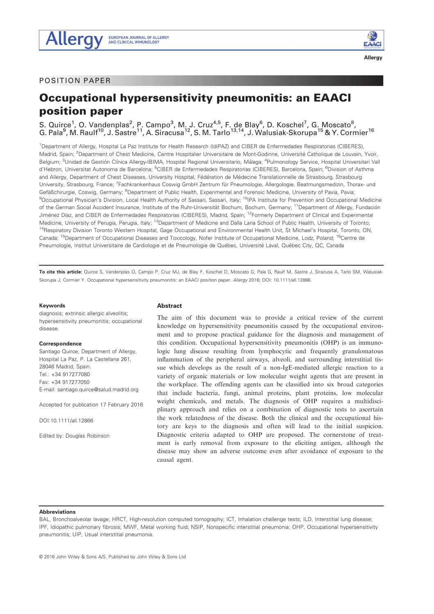

# POSITION PAPER



Occupational hypersensitivity pneumonitis: an EAACI position paper

S. Quirce<sup>1</sup>, O. Vandenplas<sup>2</sup>, P. Campo<sup>3</sup>, M. J. Cruz<sup>4,5</sup>, F. de Blay<sup>6</sup>, D. Koschel<sup>7</sup>, G. Moscato<sup>8</sup>, G. Pala<sup>9</sup>, M. Raulf<sup>10</sup>, J. Sastre<sup>11</sup>, A. Siracusa<sup>12</sup>, S. M. Tarlo<sup>13,14</sup>, J. Walusiak-Skorupa<sup>15</sup> & Y. Cormier<sup>16</sup>

1 Department of Allergy, Hospital La Paz Institute for Health Research (IdiPAZ) and CIBER de Enfermedades Respiratorias (CIBERES), Madrid, Spain; <sup>2</sup>Department of Chest Medicine, Centre Hospitalier Universitaire de Mont-Godinne, Université Catholique de Louvain, Yvoir, Belgium; <sup>3</sup>Unidad de Gestión Clínica Allergy-IBIMA, Hospital Regional Universitario, Málaga; <sup>4</sup>Pulmonology Service, Hospital Universitari Vall d'Hebron, Universitat Autonoma de Barcelona; <sup>5</sup>CIBER de Enfermedades Respiratorias (CIBERES), Barcelona, Spain; <sup>6</sup>Division of Asthma and Allergy, Department of Chest Diseases, University Hospital, Fédération de Médecine Translationnelle de Strasbourg, Strasbourg University, Strasbourg, France; <sup>7</sup>Fachkrankenhaus Coswig GmbH Zentrum für Pneumologie, Allergologie, Beatmungsmedizin, Thorax- und Gefäßchirurgie, Coswig, Germany; <sup>8</sup>Department of Public Health, Experimental and Forensic Medicine, University of Pavia, Pavia; <sup>9</sup>Occupational Physician's Division, Local Health Authority of Sassari, Sassari, Italy; <sup>10</sup>IPA Institute for Prevention and Occupational Medicine of the German Social Accident Insurance, Institute of the Ruhr-Universität Bochum, Bochum, Germany; <sup>11</sup>Department of Allergy, Fundación Jiménez Díaz, and CIBER de Enfermedades Respiratorias (CIBERES), Madrid, Spain; <sup>12</sup>Formerly Department of Clinical and Experimental Medicine, University of Perugia, Perugia, Italy; <sup>13</sup>Department of Medicine and Dalla Lana School of Public Health, University of Toronto; <sup>14</sup>Respiratory Division Toronto Western Hospital, Gage Occupational and Environmental Health Unit, St Michael's Hospital, Toronto, ON, Canada; 15Department of Occupational Diseases and Toxicology, Nofer Institute of Occupational Medicine, Lodz, Poland; 16Centre de Pneumologie, Institut Universitaire de Cardiologie et de Pneumologie de Québec, Université Laval, Québec City, QC, Canada

To cite this article: Quirce S, Vandenplas O, Campo P, Cruz MJ, de Blay F, Koschel D, Moscato G, Pala G, Raulf M, Sastre J, Siracusa A, Tarlo SM, Walusiak-Skorupa J, Cormier Y. Occupational hypersensitivity pneumonitis: an EAACI position paper. Allergy 2016; DOI: 10.1111/all.12866.

#### Keywords

diagnosis; extrinsic allergic alveolitis; hypersensitivity pneumonitis; occupational disease.

#### **Correspondence**

Santiago Quirce, Department of Allergy, Hospital La Paz, P. La Castellana 261, 28046 Madrid, Spain. Tel.: +34 917277080 Fax: +34 917277050 E-mail: santiago.quirce@salud.madrid.org

Accepted for publication 17 February 2016

DOI:10.1111/all.12866

Edited by: Douglas Robinson

# **Abstract**

The aim of this document was to provide a critical review of the current knowledge on hypersensitivity pneumonitis caused by the occupational environment and to propose practical guidance for the diagnosis and management of this condition. Occupational hypersensitivity pneumonitis (OHP) is an immunologic lung disease resulting from lymphocytic and frequently granulomatous inflammation of the peripheral airways, alveoli, and surrounding interstitial tissue which develops as the result of a non-IgE-mediated allergic reaction to a variety of organic materials or low molecular weight agents that are present in the workplace. The offending agents can be classified into six broad categories that include bacteria, fungi, animal proteins, plant proteins, low molecular weight chemicals, and metals. The diagnosis of OHP requires a multidisciplinary approach and relies on a combination of diagnostic tests to ascertain the work relatedness of the disease. Both the clinical and the occupational history are keys to the diagnosis and often will lead to the initial suspicion. Diagnostic criteria adapted to OHP are proposed. The cornerstone of treatment is early removal from exposure to the eliciting antigen, although the disease may show an adverse outcome even after avoidance of exposure to the causal agent.

#### Abbreviations

BAL, Bronchoalveolar lavage; HRCT, High-resolution computed tomography; ICT, Inhalation challenge tests; ILD, Interstitial lung disease; IPF, Idiopathic pulmonary fibrosis; MWF, Metal working fluid; NSIP, Nonspecific interstitial pneumonia; OHP, Occupational hypersensitivity pneumonitis; UIP, Usual interstitial pneumonia.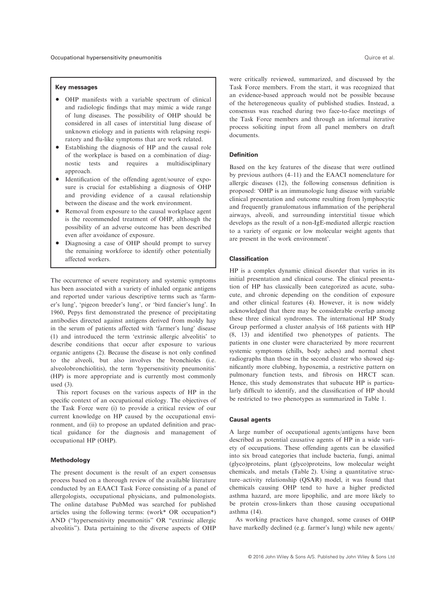## Key messages

- OHP manifests with a variable spectrum of clinical and radiologic findings that may mimic a wide range of lung diseases. The possibility of OHP should be considered in all cases of interstitial lung disease of unknown etiology and in patients with relapsing respiratory and flu-like symptoms that are work related.
- Establishing the diagnosis of HP and the causal role of the workplace is based on a combination of diagnostic tests and requires a multidisciplinary approach.
- Identification of the offending agent/source of exposure is crucial for establishing a diagnosis of OHP and providing evidence of a causal relationship between the disease and the work environment.
- Removal from exposure to the causal workplace agent is the recommended treatment of OHP, although the possibility of an adverse outcome has been described even after avoidance of exposure.
- Diagnosing a case of OHP should prompt to survey the remaining workforce to identify other potentially affected workers.

The occurrence of severe respiratory and systemic symptoms has been associated with a variety of inhaled organic antigens and reported under various descriptive terms such as 'farmer's lung', 'pigeon breeder's lung', or 'bird fancier's lung'. In 1960, Pepys first demonstrated the presence of precipitating antibodies directed against antigens derived from moldy hay in the serum of patients affected with 'farmer's lung' disease (1) and introduced the term 'extrinsic allergic alveolitis' to describe conditions that occur after exposure to various organic antigens (2). Because the disease is not only confined to the alveoli, but also involves the bronchioles (i.e. alveolobronchiolitis), the term 'hypersensitivity pneumonitis' (HP) is more appropriate and is currently most commonly used (3).

This report focuses on the various aspects of HP in the specific context of an occupational etiology. The objectives of the Task Force were (i) to provide a critical review of our current knowledge on HP caused by the occupational environment, and (ii) to propose an updated definition and practical guidance for the diagnosis and management of occupational HP (OHP).

# Methodology

The present document is the result of an expert consensus process based on a thorough review of the available literature conducted by an EAACI Task Force consisting of a panel of allergologists, occupational physicians, and pulmonologists. The online database PubMed was searched for published articles using the following terms: (work\* OR occupation\*) AND ("hypersensitivity pneumonitis" OR "extrinsic allergic alveolitis"). Data pertaining to the diverse aspects of OHP were critically reviewed, summarized, and discussed by the Task Force members. From the start, it was recognized that an evidence-based approach would not be possible because of the heterogeneous quality of published studies. Instead, a consensus was reached during two face-to-face meetings of the Task Force members and through an informal iterative process soliciting input from all panel members on draft documents.

### Definition

Based on the key features of the disease that were outlined by previous authors (4–11) and the EAACI nomenclature for allergic diseases (12), the following consensus definition is proposed: 'OHP is an immunologic lung disease with variable clinical presentation and outcome resulting from lymphocytic and frequently granulomatous inflammation of the peripheral airways, alveoli, and surrounding interstitial tissue which develops as the result of a non-IgE-mediated allergic reaction to a variety of organic or low molecular weight agents that are present in the work environment'.

# Classification

HP is a complex dynamic clinical disorder that varies in its initial presentation and clinical course. The clinical presentation of HP has classically been categorized as acute, subacute, and chronic depending on the condition of exposure and other clinical features (4). However, it is now widely acknowledged that there may be considerable overlap among these three clinical syndromes. The international HP Study Group performed a cluster analysis of 168 patients with HP (8, 13) and identified two phenotypes of patients. The patients in one cluster were characterized by more recurrent systemic symptoms (chills, body aches) and normal chest radiographs than those in the second cluster who showed significantly more clubbing, hypoxemia, a restrictive pattern on pulmonary function tests, and fibrosis on HRCT scan. Hence, this study demonstrates that subacute HP is particularly difficult to identify, and the classification of HP should be restricted to two phenotypes as summarized in Table 1.

## Causal agents

A large number of occupational agents/antigens have been described as potential causative agents of HP in a wide variety of occupations. These offending agents can be classified into six broad categories that include bacteria, fungi, animal (glyco)proteins, plant (glyco)proteins, low molecular weight chemicals, and metals (Table 2). Using a quantitative structure–activity relationship (QSAR) model, it was found that chemicals causing OHP tend to have a higher predicted asthma hazard, are more lipophilic, and are more likely to be protein cross-linkers than those causing occupational asthma (14).

As working practices have changed, some causes of OHP have markedly declined (e.g. farmer's lung) while new agents/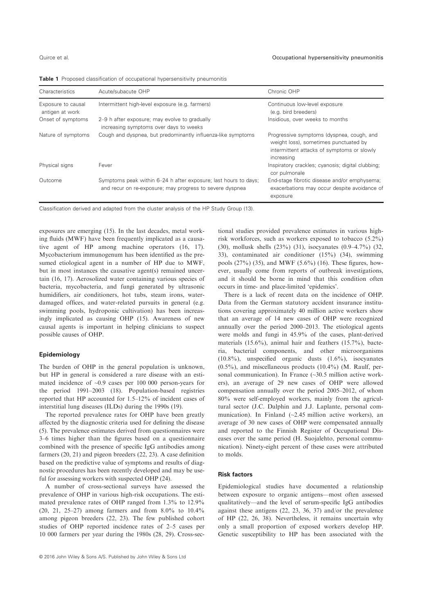| Characteristics                       | Acute/subacute OHP                                                                                                          | Chronic OHP                                                                                                                                    |
|---------------------------------------|-----------------------------------------------------------------------------------------------------------------------------|------------------------------------------------------------------------------------------------------------------------------------------------|
| Exposure to causal<br>antigen at work | Intermittent high-level exposure (e.g. farmers)                                                                             | Continuous low-level exposure<br>(e.g. bird breeders)                                                                                          |
| Onset of symptoms                     | 2-9 h after exposure; may evolve to gradually<br>increasing symptoms over days to weeks                                     | Insidious, over weeks to months                                                                                                                |
| Nature of symptoms                    | Cough and dyspnea, but predominantly influenza-like symptoms                                                                | Progressive symptoms (dyspnea, cough, and<br>weight loss), sometimes punctuated by<br>intermittent attacks of symptoms or slowly<br>increasing |
| Physical signs                        | Fever                                                                                                                       | Inspiratory crackles; cyanosis; digital clubbing;<br>cor pulmonale                                                                             |
| Outcome                               | Symptoms peak within 6–24 h after exposure; last hours to days;<br>and recur on re-exposure; may progress to severe dyspnea | End-stage fibrotic disease and/or emphysema;<br>exacerbations may occur despite avoidance of<br>exposure                                       |

Table 1 Proposed classification of occupational hypersensitivity pneumonitis

Classification derived and adapted from the cluster analysis of the HP Study Group (13).

exposures are emerging (15). In the last decades, metal working fluids (MWF) have been frequently implicated as a causative agent of HP among machine operators (16, 17). Mycobacterium immunogenum has been identified as the presumed etiological agent in a number of HP due to MWF, but in most instances the causative agent(s) remained uncertain (16, 17). Aerosolized water containing various species of bacteria, mycobacteria, and fungi generated by ultrasonic humidifiers, air conditioners, hot tubs, steam irons, waterdamaged offices, and water-related pursuits in general (e.g. swimming pools, hydroponic cultivation) has been increasingly implicated as causing OHP (15). Awareness of new causal agents is important in helping clinicians to suspect possible causes of OHP.

# Epidemiology

The burden of OHP in the general population is unknown, but HP in general is considered a rare disease with an estimated incidence of ~0.9 cases per 100 000 person-years for the period 1991–2003 (18). Population-based registries reported that HP accounted for 1.5–12% of incident cases of interstitial lung diseases (ILDs) during the 1990s (19).

The reported prevalence rates for OHP have been greatly affected by the diagnostic criteria used for defining the disease (5). The prevalence estimates derived from questionnaires were 3–6 times higher than the figures based on a questionnaire combined with the presence of specific IgG antibodies among farmers (20, 21) and pigeon breeders (22, 23). A case definition based on the predictive value of symptoms and results of diagnostic procedures has been recently developed and may be useful for assessing workers with suspected OHP (24).

A number of cross-sectional surveys have assessed the prevalence of OHP in various high-risk occupations. The estimated prevalence rates of OHP ranged from 1.3% to 12.9% (20, 21, 25–27) among farmers and from 8.0% to 10.4% among pigeon breeders (22, 23). The few published cohort studies of OHP reported incidence rates of 2–5 cases per 10 000 farmers per year during the 1980s (28, 29). Cross-sec-

tional studies provided prevalence estimates in various highrisk workforces, such as workers exposed to tobacco (5.2%) (30), mollusk shells (23%) (31), isocyanates (0.9–4.7%) (32, 33), contaminated air conditioner (15%) (34), swimming pools (27%) (35), and MWF (5.6%) (16). These figures, however, usually come from reports of outbreak investigations, and it should be borne in mind that this condition often occurs in time- and place-limited 'epidemics'.

There is a lack of recent data on the incidence of OHP. Data from the German statutory accident insurance institutions covering approximately 40 million active workers show that an average of 14 new cases of OHP were recognized annually over the period 2000–2013. The etiological agents were molds and fungi in 45.9% of the cases, plant-derived materials (15.6%), animal hair and feathers (15.7%), bacteria, bacterial components, and other microorganisms (10.8%), unspecified organic dusts (1.6%), isocyanates (0.5%), and miscellaneous products (10.4%) (M. Raulf, personal communication). In France (~30.5 million active workers), an average of 29 new cases of OHP were allowed compensation annually over the period 2005–2012, of whom 80% were self-employed workers, mainly from the agricultural sector (J.C. Dalphin and J.J. Laplante, personal communication). In Finland  $(\sim 2.45$  million active workers), an average of 30 new cases of OHP were compensated annually and reported to the Finnish Register of Occupational Diseases over the same period (H. Suojalehto, personal communication). Ninety-eight percent of these cases were attributed to molds.

## Risk factors

Epidemiological studies have documented a relationship between exposure to organic antigens—most often assessed qualitatively—and the level of serum-specific IgG antibodies against these antigens (22, 23, 36, 37) and/or the prevalence of HP (22, 26, 38). Nevertheless, it remains uncertain why only a small proportion of exposed workers develop HP. Genetic susceptibility to HP has been associated with the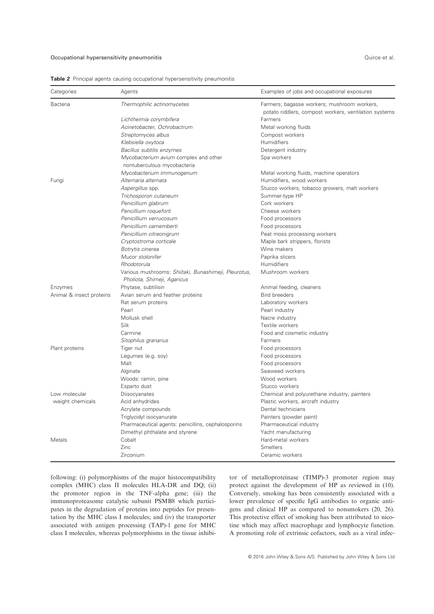#### Occupational hypersensitivity pneumonitis **Quirce et al. Quirce et al. Quirce et al.**

|  |  | Table 2 Principal agents causing occupational hypersensitivity pneumonitis |  |
|--|--|----------------------------------------------------------------------------|--|
|  |  |                                                                            |  |

| Categories               | Agents                                               | Examples of jobs and occupational exposures                                                          |
|--------------------------|------------------------------------------------------|------------------------------------------------------------------------------------------------------|
| Bacteria                 | Thermophilic actinomycetes                           | Farmers; bagasse workers; mushroom workers,<br>potato riddlers, compost workers, ventilation systems |
|                          | Lichtheimia corymbifera                              | Farmers                                                                                              |
|                          | Acinetobacter, Ochrobactrum                          | Metal working fluids                                                                                 |
|                          | Streptomyces albus                                   | Compost workers                                                                                      |
|                          | Klebsiella oxytoca                                   | Humidifiers                                                                                          |
|                          | Bacillus subtilis enzymes                            | Detergent industry                                                                                   |
|                          | Mycobacterium avium complex and other                | Spa workers                                                                                          |
|                          | nontuberculous mycobacteria                          |                                                                                                      |
|                          | Mycobacterium immunogenum                            | Metal working fluids, machine operators                                                              |
| Fungi                    | Alternaria alternata                                 | Humidifiers, wood workers                                                                            |
|                          | Aspergillus spp.                                     | Stucco workers, tobacco growers, malt workers                                                        |
|                          | Trichosporon cutaneum                                | Summer-type HP                                                                                       |
|                          | Penicillium glabrum                                  | Cork workers                                                                                         |
|                          | Pencillium roqueforti                                | Cheese workers                                                                                       |
|                          | Penicillium verrucosum                               | Food processors                                                                                      |
|                          | Penicillium camemberti                               | Food processors                                                                                      |
|                          | Penicillium citreonigrum                             | Peat moss processing workers                                                                         |
|                          | Cryptostroma corticale                               | Maple bark strippers, florists                                                                       |
|                          | Botrytis cinerea                                     | Wine makers                                                                                          |
|                          | Mucor stolonifer                                     | Paprika slicers                                                                                      |
|                          | Rhodotorula                                          | Humidifiers                                                                                          |
|                          | Various mushrooms: Shiitaki, Bunashimeji, Pleurotus, | Mushroom workers                                                                                     |
|                          | Pholiota, Shimeji, Agaricus                          |                                                                                                      |
| Enzymes                  | Phytase, subtilisin                                  | Animal feeding, cleaners                                                                             |
| Animal & insect proteins | Avian serum and feather proteins                     | <b>Bird breeders</b>                                                                                 |
|                          | Rat serum proteins                                   | Laboratory workers                                                                                   |
|                          | Pearl                                                | Pearl industry                                                                                       |
|                          | Mollusk shell                                        | Nacre industry                                                                                       |
|                          | Silk                                                 | Textile workers                                                                                      |
|                          | Carmine                                              | Food and cosmetic industry                                                                           |
|                          | Sitophilus granarius                                 | Farmers                                                                                              |
| Plant proteins           | Tiger nut                                            | Food processors                                                                                      |
|                          | Legumes (e.g. soy)                                   | Food processors                                                                                      |
|                          | Malt                                                 | Food processors                                                                                      |
|                          | Alginate                                             | Seaweed workers                                                                                      |
|                          | Woods: ramin, pine                                   | Wood workers                                                                                         |
|                          | Esparto dust                                         | Stucco workers                                                                                       |
| Low molecular            | Diisocyanates                                        | Chemical and polyurethane industry, painters                                                         |
| weight chemicals         | Acid anhydrides                                      | Plastic workers, aircraft industry                                                                   |
|                          | Acrylate compounds                                   | Dental technicians                                                                                   |
|                          | Triglycidyl isocyanurate                             | Painters (powder paint)                                                                              |
|                          | Pharmaceutical agents: penicillins, cephalosporins   | Pharmaceutical industry                                                                              |
|                          | Dimethyl phthalate and styrene                       | Yacht manufacturing                                                                                  |
| Metals                   | Cobalt                                               | Hard-metal workers                                                                                   |
|                          | Zinc                                                 | Smelters                                                                                             |
|                          | Zirconium                                            | Ceramic workers                                                                                      |

following: (i) polymorphisms of the major histocompatibility complex (MHC) class II molecules HLA-DR and DQ; (ii) the promoter region in the TNF-alpha gene; (iii) the immunoproteasome catalytic subunit PSMB8 which participates in the degradation of proteins into peptides for presentation by the MHC class I molecules; and (iv) the transporter associated with antigen processing (TAP)-1 gene for MHC class I molecules, whereas polymorphisms in the tissue inhibitor of metalloproteinase (TIMP)-3 promoter region may protect against the development of HP as reviewed in (10). Conversely, smoking has been consistently associated with a lower prevalence of specific IgG antibodies to organic antigens and clinical HP as compared to nonsmokers (20, 26). This protective effect of smoking has been attributed to nicotine which may affect macrophage and lymphocyte function. A promoting role of extrinsic cofactors, such as a viral infec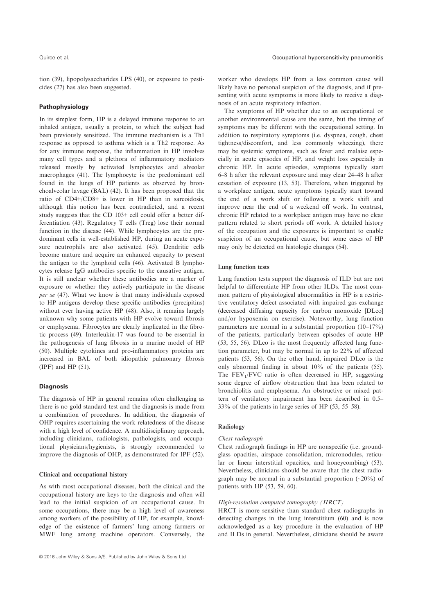tion (39), lipopolysaccharides LPS (40), or exposure to pesticides (27) has also been suggested.

# Pathophysiology

In its simplest form, HP is a delayed immune response to an inhaled antigen, usually a protein, to which the subject had been previously sensitized. The immune mechanism is a Th1 response as opposed to asthma which is a Th2 response. As for any immune response, the inflammation in HP involves many cell types and a plethora of inflammatory mediators released mostly by activated lymphocytes and alveolar macrophages (41). The lymphocyte is the predominant cell found in the lungs of HP patients as observed by bronchoalveolar lavage (BAL) (42). It has been proposed that the ratio of CD4+/CD8+ is lower in HP than in sarcoidosis, although this notion has been contradicted, and a recent study suggests that the CD 103+ cell could offer a better differentiation (43). Regulatory T cells (Treg) lose their normal function in the disease (44). While lymphocytes are the predominant cells in well-established HP, during an acute exposure neutrophils are also activated (45). Dendritic cells become mature and acquire an enhanced capacity to present the antigen to the lymphoid cells (46). Activated B lymphocytes release IgG antibodies specific to the causative antigen. It is still unclear whether these antibodies are a marker of exposure or whether they actively participate in the disease per se (47). What we know is that many individuals exposed to HP antigens develop these specific antibodies (precipitins) without ever having active HP (48). Also, it remains largely unknown why some patients with HP evolve toward fibrosis or emphysema. Fibrocytes are clearly implicated in the fibrotic process (49). Interleukin-17 was found to be essential in the pathogenesis of lung fibrosis in a murine model of HP (50). Multiple cytokines and pro-inflammatory proteins are increased in BAL of both idiopathic pulmonary fibrosis (IPF) and HP (51).

### **Diagnosis**

The diagnosis of HP in general remains often challenging as there is no gold standard test and the diagnosis is made from a combination of procedures. In addition, the diagnosis of OHP requires ascertaining the work relatedness of the disease with a high level of confidence. A multidisciplinary approach, including clinicians, radiologists, pathologists, and occupational physicians/hygienists, is strongly recommended to improve the diagnosis of OHP, as demonstrated for IPF (52).

## Clinical and occupational history

As with most occupational diseases, both the clinical and the occupational history are keys to the diagnosis and often will lead to the initial suspicion of an occupational cause. In some occupations, there may be a high level of awareness among workers of the possibility of HP, for example, knowledge of the existence of farmers' lung among farmers or MWF lung among machine operators. Conversely, the worker who develops HP from a less common cause will likely have no personal suspicion of the diagnosis, and if presenting with acute symptoms is more likely to receive a diagnosis of an acute respiratory infection.

The symptoms of HP whether due to an occupational or another environmental cause are the same, but the timing of symptoms may be different with the occupational setting. In addition to respiratory symptoms (i.e. dyspnea, cough, chest tightness/discomfort, and less commonly wheezing), there may be systemic symptoms, such as fever and malaise especially in acute episodes of HP, and weight loss especially in chronic HP. In acute episodes, symptoms typically start 6–8 h after the relevant exposure and may clear 24–48 h after cessation of exposure (13, 53). Therefore, when triggered by a workplace antigen, acute symptoms typically start toward the end of a work shift or following a work shift and improve near the end of a weekend off work. In contrast, chronic HP related to a workplace antigen may have no clear pattern related to short periods off work. A detailed history of the occupation and the exposures is important to enable suspicion of an occupational cause, but some cases of HP may only be detected on histologic changes (54).

### Lung function tests

Lung function tests support the diagnosis of ILD but are not helpful to differentiate HP from other ILDs. The most common pattern of physiological abnormalities in HP is a restrictive ventilatory defect associated with impaired gas exchange (decreased diffusing capacity for carbon monoxide [DLco] and/or hypoxemia on exercise). Noteworthy, lung function parameters are normal in a substantial proportion (10–17%) of the patients, particularly between episodes of acute HP (53, 55, 56). DLco is the most frequently affected lung function parameter, but may be normal in up to 22% of affected patients (53, 56). On the other hand, impaired DLco is the only abnormal finding in about 10% of the patients (55). The  $FEV<sub>1</sub>/FVC$  ratio is often decreased in HP, suggesting some degree of airflow obstruction that has been related to bronchiolitis and emphysema. An obstructive or mixed pattern of ventilatory impairment has been described in 0.5– 33% of the patients in large series of HP (53, 55–58).

### Radiology

### Chest radiograph

Chest radiograph findings in HP are nonspecific (i.e. groundglass opacities, airspace consolidation, micronodules, reticular or linear interstitial opacities, and honeycombing) (53). Nevertheless, clinicians should be aware that the chest radiograph may be normal in a substantial proportion  $(\sim 20\%)$  of patients with HP (53, 59, 60).

#### High-resolution computed tomography (HRCT)

HRCT is more sensitive than standard chest radiographs in detecting changes in the lung interstitium (60) and is now acknowledged as a key procedure in the evaluation of HP and ILDs in general. Nevertheless, clinicians should be aware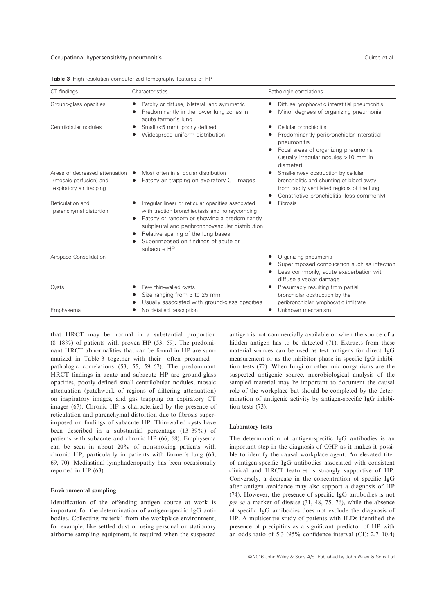| Table 3 High-resolution computerized tomography features of HP |  |  |  |  |  |  |
|----------------------------------------------------------------|--|--|--|--|--|--|
|----------------------------------------------------------------|--|--|--|--|--|--|

| CT findings                                                                         | Characteristics                                                                                                                                                                                                                                                                                    | Pathologic correlations                                                                                                                                                         |  |  |
|-------------------------------------------------------------------------------------|----------------------------------------------------------------------------------------------------------------------------------------------------------------------------------------------------------------------------------------------------------------------------------------------------|---------------------------------------------------------------------------------------------------------------------------------------------------------------------------------|--|--|
| Ground-glass opacities                                                              | Patchy or diffuse, bilateral, and symmetric<br>Predominantly in the lower lung zones in<br>acute farmer's lung                                                                                                                                                                                     | Diffuse lymphocytic interstitial pneumonitis<br>Minor degrees of organizing pneumonia                                                                                           |  |  |
| Centrilobular nodules                                                               | Small (<5 mm), poorly defined<br>Widespread uniform distribution                                                                                                                                                                                                                                   | Cellular bronchiolitis<br>Predominantly peribronchiolar interstitial<br>pneumonitis<br>Focal areas of organizing pneumonia<br>(usually irregular nodules >10 mm in<br>diameter) |  |  |
| Areas of decreased attenuation<br>(mosaic perfusion) and<br>expiratory air trapping | Most often in a lobular distribution<br>Patchy air trapping on expiratory CT images                                                                                                                                                                                                                | Small-airway obstruction by cellular<br>bronchiolitis and shunting of blood away<br>from poorly ventilated regions of the lung<br>Constrictive bronchiolitis (less commonly)    |  |  |
| Reticulation and<br>parenchymal distortion                                          | Irregular linear or reticular opacities associated<br>with traction bronchiectasis and honeycombing<br>Patchy or random or showing a predominantly<br>subpleural and peribronchovascular distribution<br>Relative sparing of the lung bases<br>Superimposed on findings of acute or<br>subacute HP | Fibrosis                                                                                                                                                                        |  |  |
| Airspace Consolidation                                                              |                                                                                                                                                                                                                                                                                                    | Organizing pneumonia<br>Superimposed complication such as infection<br>Less commonly, acute exacerbation with<br>diffuse alveolar damage                                        |  |  |
| Cysts                                                                               | Few thin-walled cysts<br>Size ranging from 3 to 25 mm<br>Usually associated with ground-glass opacities                                                                                                                                                                                            | Presumably resulting from partial<br>bronchiolar obstruction by the<br>peribronchiolar lymphocytic infiltrate                                                                   |  |  |
| Emphysema                                                                           | No detailed description                                                                                                                                                                                                                                                                            | Unknown mechanism                                                                                                                                                               |  |  |

that HRCT may be normal in a substantial proportion (8–18%) of patients with proven HP (53, 59). The predominant HRCT abnormalities that can be found in HP are summarized in Table 3 together with their—often presumed pathologic correlations (53, 55, 59–67). The predominant HRCT findings in acute and subacute HP are ground-glass opacities, poorly defined small centrilobular nodules, mosaic attenuation (patchwork of regions of differing attenuation) on inspiratory images, and gas trapping on expiratory CT images (67). Chronic HP is characterized by the presence of reticulation and parenchymal distortion due to fibrosis superimposed on findings of subacute HP. Thin-walled cysts have been described in a substantial percentage (13–39%) of patients with subacute and chronic HP (66, 68). Emphysema can be seen in about 20% of nonsmoking patients with chronic HP, particularly in patients with farmer's lung (63, 69, 70). Mediastinal lymphadenopathy has been occasionally reported in HP (63).

#### Environmental sampling

Identification of the offending antigen source at work is important for the determination of antigen-specific IgG antibodies. Collecting material from the workplace environment, for example, like settled dust or using personal or stationary airborne sampling equipment, is required when the suspected

antigen is not commercially available or when the source of a hidden antigen has to be detected (71). Extracts from these material sources can be used as test antigens for direct IgG measurement or as the inhibitor phase in specific IgG inhibition tests (72). When fungi or other microorganisms are the suspected antigenic source, microbiological analysis of the sampled material may be important to document the causal role of the workplace but should be completed by the determination of antigenic activity by antigen-specific IgG inhibition tests (73).

#### Laboratory tests

The determination of antigen-specific IgG antibodies is an important step in the diagnosis of OHP as it makes it possible to identify the causal workplace agent. An elevated titer of antigen-specific IgG antibodies associated with consistent clinical and HRCT features is strongly supportive of HP. Conversely, a decrease in the concentration of specific IgG after antigen avoidance may also support a diagnosis of HP (74). However, the presence of specific IgG antibodies is not per se a marker of disease (31, 48, 75, 76), while the absence of specific IgG antibodies does not exclude the diagnosis of HP. A multicentre study of patients with ILDs identified the presence of precipitins as a significant predictor of HP with an odds ratio of 5.3 (95% confidence interval (CI): 2.7–10.4)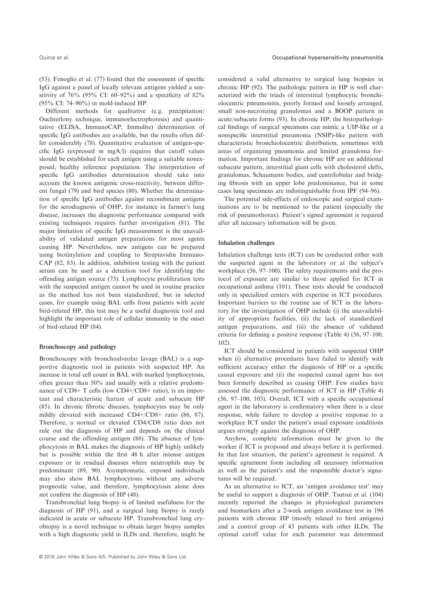(53). Fenoglio et al. (77) found that the assessment of specific IgG against a panel of locally relevant antigens yielded a sensitivity of  $76\%$  (95% CI: 60–92%) and a specificity of 82% (95% CI: 74–90%) in mold-induced HP.

Different methods for qualitative (e.g. precipitation/ Ouchterlony technique, immunoelectrophoresis) and quantitative (ELISA, ImmunoCAP, Immulite) determination of specific IgG antibodies are available, but the results often differ considerably (78). Quantitative evaluation of antigen-specific IgG (expressed in mgA/l) requires that cutoff values should be established for each antigen using a suitable nonexposed, healthy reference population. The interpretation of specific IgG antibodies determination should take into account the known antigenic cross-reactivity, between different fungal (79) and bird species (80). Whether the determination of specific IgG antibodies against recombinant antigens for the serodiagnosis of OHP, for instance in farmer's lung disease, increases the diagnostic performance compared with existing techniques requires further investigation (81). The major limitation of specific IgG measurement is the unavailability of validated antigen preparations for most agents causing HP. Nevertheless, new antigens can be prepared using biotinylation and coupling to Streptavidin Immuno-CAP (82, 83). In addition, inhibition testing with the patient serum can be used as a detection tool for identifying the offending antigen source (73). Lymphocyte proliferation tests with the suspected antigen cannot be used in routine practice as the method has not been standardized, but in selected cases, for example using BAL cells from patients with acute bird-related HP, this test may be a useful diagnostic tool and highlight the important role of cellular immunity in the onset of bird-related HP (84).

### Bronchoscopy and pathology

Bronchoscopy with bronchoalveolar lavage (BAL) is a supportive diagnostic tool in patients with suspected HP. An increase in total cell count in BAL with marked lymphocytosis, often greater than 50% and usually with a relative predominance of CD8+ T cells (low CD4+/CD8+ ratio), is an important and characteristic feature of acute and subacute HP (85). In chronic fibrotic diseases, lymphocytes may be only mildly elevated with increased CD4+/CD8+ ratio (86, 87). Therefore, a normal or elevated CD4/CD8 ratio does not rule out the diagnosis of HP and depends on the clinical course and the offending antigen (88). The absence of lymphocytosis in BAL makes the diagnosis of HP highly unlikely but is possible within the first 48 h after intense antigen exposure or in residual diseases where neutrophils may be predominant (89, 90). Asymptomatic, exposed individuals may also show BAL lymphocytosis without any adverse prognostic value, and therefore, lymphocytosis alone does not confirm the diagnosis of HP (48).

Transbronchial lung biopsy is of limited usefulness for the diagnosis of HP (91), and a surgical lung biopsy is rarely indicated in acute or subacute HP. Transbronchial lung cryobiopsy is a novel technique to obtain larger biopsy samples with a high diagnostic yield in ILDs and, therefore, might be

considered a valid alternative to surgical lung biopsies in chronic HP (92). The pathologic pattern in HP is well characterized with the triads of interstitial lymphocytic bronchiolocentric pneumonitis, poorly formed and loosely arranged, small non-necrotizing granulomas and a BOOP pattern in acute/subacute forms (93). In chronic HP, the histopathological findings of surgical specimens can mimic a UIP-like or a nonspecific interstitial pneumonia (NSIP)-like pattern with characteristic bronchiolocentric distribution, sometimes with areas of organizing pneumonia and limited granuloma formation. Important findings for chronic HP are an additional subacute pattern, interstitial giant cells with cholesterol clefts, granulomas, Schaumann bodies, and centrilobular and bridging fibrosis with an upper lobe predominance, but in some cases lung specimens are indistinguishable from IPF (94–96).

The potential side-effects of endoscopic and surgical examinations are to be mentioned to the patient (especially the risk of pneumothorax). Patient's signed agreement is required after all necessary information will be given.

### Inhalation challenges

Inhalation challenge tests (ICT) can be conducted either with the suspected agent in the laboratory or at the subject's workplace (56, 97–100). The safety requirements and the protocol of exposure are similar to those applied for ICT in occupational asthma (101). These tests should be conducted only in specialized centers with expertise in ICT procedures. Important barriers to the routine use of ICT in the laboratory for the investigation of OHP include (i) the unavailability of appropriate facilities, (ii) the lack of standardized antigen preparations, and (iii) the absence of validated criteria for defining a positive response (Table 4) (56, 97–100, 102).

ICT should be considered in patients with suspected OHP when (i) alternative procedures have failed to identify with sufficient accuracy either the diagnosis of HP or a specific causal exposure and (ii) the suspected causal agent has not been formerly described as causing OHP. Few studies have assessed the diagnostic performance of ICT in HP (Table 4) (56, 97–100, 103). Overall, ICT with a specific occupational agent in the laboratory is confirmatory when there is a clear response, while failure to develop a positive response to a workplace ICT under the patient's usual exposure conditions argues strongly against the diagnosis of OHP.

Anyhow, complete information must be given to the worker if ICT is proposed and always before it is performed. In that last situation, the patient's agreement is required. A specific agreement form including all necessary information as well as the patient's and the responsible doctor's signatures will be required.

As an alternative to ICT, an 'antigen avoidance test' may be useful to support a diagnosis of OHP. Tsutsui et al. (104) recently reported the changes in physiological parameters and biomarkers after a 2-week antigen avoidance test in 196 patients with chronic HP (mostly related to bird antigens) and a control group of 43 patients with other ILDs. The optimal cutoff value for each parameter was determined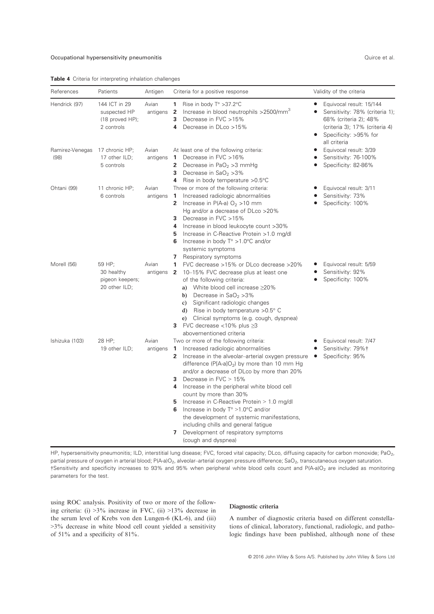### Occupational hypersensitivity pneumonitis **Quirce et al. Quirce et al. Quirce et al.**

|  | Table 4 Criteria for interpreting inhalation challenges |  |
|--|---------------------------------------------------------|--|
|  |                                                         |  |

| References              | Patients                                                       | Antigen           | Criteria for a positive response                                                                                                                                                                                                                                                                                                                                                                                                                                                                                                                                                                                                            | Validity of the criteria                                                                                                                                                                 |
|-------------------------|----------------------------------------------------------------|-------------------|---------------------------------------------------------------------------------------------------------------------------------------------------------------------------------------------------------------------------------------------------------------------------------------------------------------------------------------------------------------------------------------------------------------------------------------------------------------------------------------------------------------------------------------------------------------------------------------------------------------------------------------------|------------------------------------------------------------------------------------------------------------------------------------------------------------------------------------------|
| Hendrick (97)           | 144 ICT in 29<br>suspected HP<br>(18 proved HP);<br>2 controls | Avian<br>antigens | Rise in body T° >37.2°C<br>$\mathbf{1}$<br>Increase in blood neutrophils >2500/mm <sup>3</sup><br>2<br>Decrease in FVC >15%<br>3<br>4<br>Decrease in DLco >15%                                                                                                                                                                                                                                                                                                                                                                                                                                                                              | Equivocal result: 15/144<br>$\bullet$<br>Sensitivity: 78% (criteria 1);<br>68% (criteria 2); 48%<br>(criteria 3); 17% (criteria 4)<br>Specificity: >95% for<br>$\bullet$<br>all criteria |
| Ramirez-Venegas<br>(98) | 17 chronic HP;<br>17 other ILD;<br>5 controls                  | Avian<br>antigens | At least one of the following criteria:<br>Decrease in FVC >16%<br>$\mathbf{1}$<br>2<br>Decrease in $PaO2 > 3$ mmHg<br>3<br>Decrease in $SaO2 > 3%$<br>4<br>Rise in body temperature $>0.5$ °C                                                                                                                                                                                                                                                                                                                                                                                                                                              | Equivocal result: 3/39<br>Sensitivity: 76-100%<br>Specificity: 82-86%                                                                                                                    |
| Ohtani (99)             | 11 chronic HP;<br>6 controls                                   | Avian<br>antigens | Three or more of the following criteria:<br>Increased radiologic abnormalities<br>$\mathbf{1}$<br><b>2</b> Increase in $P(A-a)$ O <sub>2</sub> > 10 mm<br>Hg and/or a decrease of DLco >20%<br>3 Decrease in FVC >15%<br>4 Increase in blood leukocyte count >30%<br>Increase in C-Reactive Protein >1.0 mg/dl<br>5<br>Increase in body $T^{\circ} > 1.0^{\circ}C$ and/or<br>6<br>systemic symptoms<br><b>7</b> Respiratory symptoms                                                                                                                                                                                                        | Equivocal result: 3/11<br>Sensitivity: 73%<br>Specificity: 100%                                                                                                                          |
| Morell (56)             | 59 HP;<br>30 healthy<br>pigeon keepers;<br>20 other ILD;       | Avian<br>antigens | 1<br>FVC decrease >15% or DLco decrease >20%<br>10–15% FVC decrease plus at least one<br>$\overline{2}$<br>of the following criteria:<br>White blood cell increase ≥20%<br>a)<br>Decrease in $SaO2 > 3%$<br>b)<br>Significant radiologic changes<br>c)<br>Rise in body temperature $>0.5^{\circ}$ C<br>d)<br>e) Clinical symptoms (e.g. cough, dyspnea)<br>FVC decrease $<$ 10% plus $\geq$ 3<br>3<br>abovementioned criteria                                                                                                                                                                                                               | Equivocal result: 5/59<br>Sensitivity: 92%<br>Specificity: 100%                                                                                                                          |
| Ishizuka (103)          | 28 HP;<br>19 other ILD;                                        | Avian<br>antigens | Two or more of the following criteria:<br>Increased radiologic abnormalities<br>1<br>2<br>Increase in the alveolar-arterial oxygen pressure<br>difference (P[A-a]O <sub>2</sub> ) by more than 10 mm Hg<br>and/or a decrease of DLco by more than 20%<br>Decrease in $FVC > 15%$<br>3<br>Increase in the peripheral white blood cell<br>4<br>count by more than 30%<br>Increase in C-Reactive Protein > 1.0 mg/dl<br>5<br>6<br>Increase in body $T^{\circ} > 1.0^{\circ}C$ and/or<br>the development of systemic manifestations,<br>including chills and general fatigue<br>Development of respiratory symptoms<br>7<br>(cough and dyspnea) | Equivocal result: 7/47<br>Sensitivity: 79%†<br>Specificity: 95%<br>$\bullet$                                                                                                             |

HP, hypersensitivity pneumonitis; ILD, interstitial lung disease; FVC, forced vital capacity; DLco, diffusing capacity for carbon monoxide; PaO<sub>2</sub>, partial pressure of oxygen in arterial blood; P(A-a)O<sub>2</sub>, alveolar-arterial oxygen pressure difference; SaO<sub>2</sub>, transcutaneous oxygen saturation.  $\dagger$ Sensitivity and specificity increases to 93% and 95% when peripheral white blood cells count and P(A-a)O<sub>2</sub> are included as monitoring parameters for the test.

using ROC analysis. Positivity of two or more of the following criteria: (i) >3% increase in FVC, (ii) >13% decrease in the serum level of Krebs von den Lungen-6 (KL-6), and (iii) >3% decrease in white blood cell count yielded a sensitivity of 51% and a specificity of 81%.

# Diagnostic criteria

A number of diagnostic criteria based on different constellations of clinical, laboratory, functional, radiologic, and pathologic findings have been published, although none of these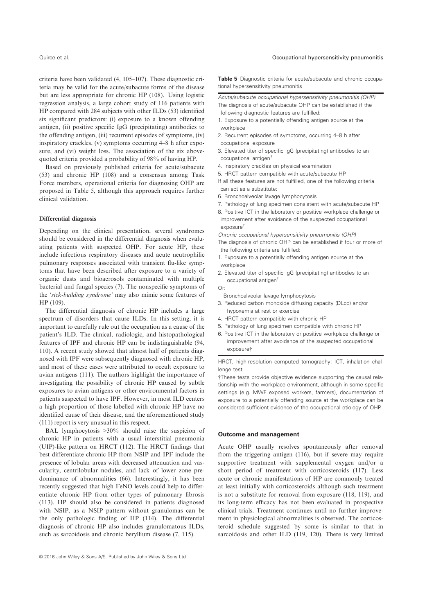criteria have been validated (4, 105–107). These diagnostic criteria may be valid for the acute/subacute forms of the disease but are less appropriate for chronic HP (108). Using logistic regression analysis, a large cohort study of 116 patients with HP compared with 284 subjects with other ILDs (53) identified six significant predictors: (i) exposure to a known offending antigen, (ii) positive specific IgG (precipitating) antibodies to the offending antigen, (iii) recurrent episodes of symptoms, (iv) inspiratory crackles, (v) symptoms occurring 4–8 h after exposure, and (vi) weight loss. The association of the six abovequoted criteria provided a probability of 98% of having HP.

Based on previously published criteria for acute/subacute (53) and chronic HP (108) and a consensus among Task Force members, operational criteria for diagnosing OHP are proposed in Table 5, although this approach requires further clinical validation.

## Differential diagnosis

Depending on the clinical presentation, several syndromes should be considered in the differential diagnosis when evaluating patients with suspected OHP. For acute HP, these include infectious respiratory diseases and acute neutrophilic pulmonary responses associated with transient flu-like symptoms that have been described after exposure to a variety of organic dusts and bioaerosols contaminated with multiple bacterial and fungal species (7). The nonspecific symptoms of the 'sick-building syndrome' may also mimic some features of HP (109).

The differential diagnosis of chronic HP includes a large spectrum of disorders that cause ILDs. In this setting, it is important to carefully rule out the occupation as a cause of the patient's ILD. The clinical, radiologic, and histopathological features of IPF and chronic HP can be indistinguishable (94, 110). A recent study showed that almost half of patients diagnosed with IPF were subsequently diagnosed with chronic HP, and most of these cases were attributed to occult exposure to avian antigens (111). The authors highlight the importance of investigating the possibility of chronic HP caused by subtle exposures to avian antigens or other environmental factors in patients suspected to have IPF. However, in most ILD centers a high proportion of those labelled with chronic HP have no identified cause of their disease, and the aforementioned study (111) report is very unusual in this respect.

BAL lymphocytosis >30% should raise the suspicion of chronic HP in patients with a usual interstitial pneumonia (UIP)-like pattern on HRCT (112). The HRCT findings that best differentiate chronic HP from NSIP and IPF include the presence of lobular areas with decreased attenuation and vascularity, centrilobular nodules, and lack of lower zone predominance of abnormalities (66). Interestingly, it has been recently suggested that high FeNO levels could help to differentiate chronic HP from other types of pulmonary fibrosis (113). HP should also be considered in patients diagnosed with NSIP, as a NSIP pattern without granulomas can be the only pathologic finding of HP (114). The differential diagnosis of chronic HP also includes granulomatous ILDs, such as sarcoidosis and chronic beryllium disease (7, 115).

Table 5 Diagnostic criteria for acute/subacute and chronic occupational hypersensitivity pneumonitis

Acute/subacute occupational hypersensitivity pneumonitis (OHP) The diagnosis of acute/subacute OHP can be established if the following diagnostic features are fulfilled:

- 1. Exposure to a potentially offending antigen source at the workplace
- 2. Recurrent episodes of symptoms, occurring 4–8 h after occupational exposure
- 3. Elevated titer of specific IgG (precipitating) antibodies to an occupational antigen†
- 4. Inspiratory crackles on physical examination
- 5. HRCT pattern compatible with acute/subacute HP
- If all these features are not fulfilled, one of the following criteria can act as a substitute:
- 6. Bronchoalveolar lavage lymphocytosis
- 7. Pathology of lung specimen consistent with acute/subacute HP
- 8. Positive ICT in the laboratory or positive workplace challenge or improvement after avoidance of the suspected occupational exposure†

Chronic occupational hypersensitivity pneumonitis (OHP)

The diagnosis of chronic OHP can be established if four or more of the following criteria are fulfilled:

- 1. Exposure to a potentially offending antigen source at the workplace
- 2. Elevated titer of specific IgG (precipitating) antibodies to an occupational antigen†

Or:

- Bronchoalveolar lavage lymphocytosis
- 3. Reduced carbon monoxide diffusing capacity (DLco) and/or hypoxemia at rest or exercise
- 4. HRCT pattern compatible with chronic HP
- 5. Pathology of lung specimen compatible with chronic HP
- 6. Positive ICT in the laboratory or positive workplace challenge or improvement after avoidance of the suspected occupational exposure†

HRCT, high-resolution computed tomography; ICT, inhalation challenge test.

†These tests provide objective evidence supporting the causal relationship with the workplace environment, although in some specific settings (e.g. MWF exposed workers, farmers), documentation of exposure to a potentially offending source at the workplace can be considered sufficient evidence of the occupational etiology of OHP.

# Outcome and management

Acute OHP usually resolves spontaneously after removal from the triggering antigen (116), but if severe may require supportive treatment with supplemental oxygen and/or a short period of treatment with corticosteroids (117). Less acute or chronic manifestations of HP are commonly treated at least initially with corticosteroids although such treatment is not a substitute for removal from exposure (118, 119), and its long-term efficacy has not been evaluated in prospective clinical trials. Treatment continues until no further improvement in physiological abnormalities is observed. The corticosteroid schedule suggested by some is similar to that in sarcoidosis and other ILD (119, 120). There is very limited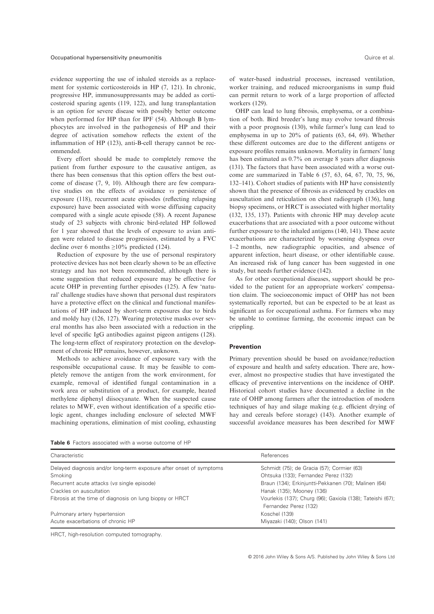#### **Occupational hypersensitivity pneumonitis Contract and Cuirce et al. Quirce et al. Quirce et al. Quirce et al.**

evidence supporting the use of inhaled steroids as a replacement for systemic corticosteroids in HP (7, 121). In chronic, progressive HP, immunosuppressants may be added as corticosteroid sparing agents (119, 122), and lung transplantation is an option for severe disease with possibly better outcome when performed for HP than for IPF (54). Although B lymphocytes are involved in the pathogenesis of HP and their degree of activation somehow reflects the extent of the inflammation of HP (123), anti-B-cell therapy cannot be recommended.

Every effort should be made to completely remove the patient from further exposure to the causative antigen, as there has been consensus that this option offers the best outcome of disease (7, 9, 10). Although there are few comparative studies on the effects of avoidance vs persistence of exposure (118), recurrent acute episodes (reflecting relapsing exposure) have been associated with worse diffusing capacity compared with a single acute episode (58). A recent Japanese study of 23 subjects with chronic bird-related HP followed for 1 year showed that the levels of exposure to avian antigen were related to disease progression, estimated by a FVC decline over 6 months  $\geq 10\%$  predicted (124).

Reduction of exposure by the use of personal respiratory protective devices has not been clearly shown to be an effective strategy and has not been recommended, although there is some suggestion that reduced exposure may be effective for acute OHP in preventing further episodes (125). A few 'natural' challenge studies have shown that personal dust respirators have a protective effect on the clinical and functional manifestations of HP induced by short-term exposures due to birds and moldy hay (126, 127). Wearing protective masks over several months has also been associated with a reduction in the level of specific IgG antibodies against pigeon antigens (128). The long-term effect of respiratory protection on the development of chronic HP remains, however, unknown.

Methods to achieve avoidance of exposure vary with the responsible occupational cause. It may be feasible to completely remove the antigen from the work environment, for example, removal of identified fungal contamination in a work area or substitution of a product, for example, heated methylene diphenyl diisocyanate. When the suspected cause relates to MWF, even without identification of a specific etiologic agent, changes including enclosure of selected MWF machining operations, elimination of mist cooling, exhausting of water-based industrial processes, increased ventilation, worker training, and reduced microorganisms in sump fluid can permit return to work of a large proportion of affected workers (129).

OHP can lead to lung fibrosis, emphysema, or a combination of both. Bird breeder's lung may evolve toward fibrosis with a poor prognosis (130), while farmer's lung can lead to emphysema in up to 20% of patients (63, 64, 69). Whether these different outcomes are due to the different antigens or exposure profiles remains unknown. Mortality in farmers' lung has been estimated as 0.7% on average 8 years after diagnosis (131). The factors that have been associated with a worse outcome are summarized in Table 6 (57, 63, 64, 67, 70, 75, 96, 132–141). Cohort studies of patients with HP have consistently shown that the presence of fibrosis as evidenced by crackles on auscultation and reticulation on chest radiograph (136), lung biopsy specimens, or HRCT is associated with higher mortality (132, 135, 137). Patients with chronic HP may develop acute exacerbations that are associated with a poor outcome without further exposure to the inhaled antigens (140, 141). These acute exacerbations are characterized by worsening dyspnea over 1–2 months, new radiographic opacities, and absence of apparent infection, heart disease, or other identifiable cause. An increased risk of lung cancer has been suggested in one study, but needs further evidence (142).

As for other occupational diseases, support should be provided to the patient for an appropriate workers' compensation claim. The socioeconomic impact of OHP has not been systematically reported, but can be expected to be at least as significant as for occupational asthma. For farmers who may be unable to continue farming, the economic impact can be crippling.

## Prevention

Primary prevention should be based on avoidance/reduction of exposure and health and safety education. There are, however, almost no prospective studies that have investigated the efficacy of preventive interventions on the incidence of OHP. Historical cohort studies have documented a decline in the rate of OHP among farmers after the introduction of modern techniques of hay and silage making (e.g. efficient drying of hay and cereals before storage) (143). Another example of successful avoidance measures has been described for MWF

Table 6 Factors associated with a worse outcome of HP

| Characteristic                                                      | References                                                                          |
|---------------------------------------------------------------------|-------------------------------------------------------------------------------------|
| Delayed diagnosis and/or long-term exposure after onset of symptoms | Schmidt (75); de Gracia (57); Cormier (63)                                          |
| Smoking                                                             | Ohtsuka (133); Fernandez Perez (132)                                                |
| Recurrent acute attacks (vs single episode)                         | Braun (134); Erkinjuntti-Pekkanen (70); Malinen (64)                                |
| Crackles on auscultation                                            | Hanak (135); Mooney (136)                                                           |
| Fibrosis at the time of diagnosis on lung biopsy or HRCT            | Vourlekis (137); Churq (96); Gaxiola (138); Tateishi (67);<br>Fernandez Perez (132) |
| Pulmonary artery hypertension                                       | Koschel (139)                                                                       |
| Acute exacerbations of chronic HP                                   | Miyazaki (140); Olson (141)                                                         |

HRCT, high-resolution computed tomography.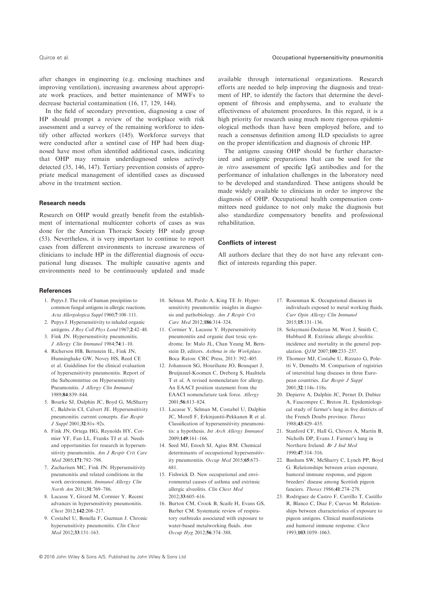after changes in engineering (e.g. enclosing machines and improving ventilation), increasing awareness about appropriate work practices, and better maintenance of MWFs to decrease bacterial contamination (16, 17, 129, 144).

In the field of secondary prevention, diagnosing a case of HP should prompt a review of the workplace with risk assessment and a survey of the remaining workforce to identify other affected workers (145). Workforce surveys that were conducted after a sentinel case of HP had been diagnosed have most often identified additional cases, indicating that OHP may remain underdiagnosed unless actively detected (35, 146, 147). Tertiary prevention consists of appropriate medical management of identified cases as discussed above in the treatment section.

# Research needs

Research on OHP would greatly benefit from the establishment of international multicenter cohorts of cases as was done for the American Thoracic Society HP study group (53). Nevertheless, it is very important to continue to report cases from different environments to increase awareness of clinicians to include HP in the differential diagnosis of occupational lung diseases. The multiple causative agents and environments need to be continuously updated and made available through international organizations. Research efforts are needed to help improving the diagnosis and treatment of HP, to identify the factors that determine the development of fibrosis and emphysema, and to evaluate the effectiveness of abatement procedures. In this regard, it is a high priority for research using much more rigorous epidemiological methods than have been employed before, and to reach a consensus definition among ILD specialists to agree on the proper identification and diagnosis of chronic HP.

The antigens causing OHP should be further characterized and antigenic preparations that can be used for the in vitro assessment of specific IgG antibodies and for the performance of inhalation challenges in the laboratory need to be developed and standardized. These antigens should be made widely available to clinicians in order to improve the diagnosis of OHP. Occupational health compensation committees need guidance to not only make the diagnosis but also standardize compensatory benefits and professional rehabilitation.

## Conflicts of interest

All authors declare that they do not have any relevant conflict of interests regarding this paper.

### References

- 1. Pepys J. The role of human precipitins to common fungal antigens in allergic reactions. Acta Allergologica Suppl 1960;7:108–111.
- 2. Pepys J. Hypersensitivity to inhaled organic antigens. J Roy Coll Phys Lond 1967;2:42–48.
- 3. Fink JN. Hypersensitivity pneumonitis. J Allergy Clin Immunol 1984;74:1–10.
- 4. Richerson HB, Bernstein IL, Fink JN, Hunninghake GW, Novey HS, Reed CE et al. Guidelines for the clinical evaluation of hypersensitivity pneumonitis. Report of the Subcommittee on Hypersensitivity Pneumonitis. J Allergy Clin Immunol 1989;84:839–844.
- 5. Bourke SJ, Dalphin JC, Boyd G, McSharry C, Baldwin CI, Calvert JE. Hypersensitivity pneumonitis: current concepts. Eur Respir J Suppl 2001;32:81s–92s.
- 6. Fink JN, Ortega HG, Reynolds HY, Cormier YF, Fan LL, Franks TJ et al. Needs and opportunities for research in hypersensitivity pneumonitis. Am J Respir Crit Care Med 2005;171:792–798.
- 7. Zacharisen MC, Fink JN. Hypersensitivity pneumonitis and related conditions in the work environment. Immunol Allergy Clin North Am 2011;31:769–786.
- 8. Lacasse Y, Girard M, Cormier Y. Recent advances in hypersensitivity pneumonitis. Chest 2012;142:208–217.
- 9. Costabel U, Bonella F, Guzman J. Chronic hypersensitivity pneumonitis. Clin Chest Med 2012;33:151–163.
- 10. Selman M, Pardo A, King TE Jr. Hypersensitivity pneumonitis: insights in diagnosis and pathobiology. Am J Respir Crit Care Med 2012;186:314–324.
- 11. Cormier Y, Lacasse Y. Hypersensitivity pneumonitis and organic dust toxic syndrome. In: Malo JL, Chan Yeung M, Bernstein D, editors. Asthma in the Workplace. Boca Raton: CRC Press, 2013: 392–405.
- 12. Johansson SG, Hourihane JO, Bousquet J, Bruijnzeel-Koomen C, Dreborg S, Haahtela T et al. A revised nomenclature for allergy. An EAACI position statement from the EAACI nomenclature task force. Allergy 2001;56:813–824.
- 13. Lacasse Y, Selman M, Costabel U, Dalphin JC, Morell F, Erkinjuntti-Pekkanen R et al. Classification of hypersensitivity pneumonitis: a hypothesis. Int Arch Allergy Immunol 2009;149:161–166.
- 14. Seed MJ, Enoch SJ, Agius RM. Chemical determinants of occupational hypersensitivity pneumonitis. Occup Med 2015;65:673– 681.
- 15. Fishwick D. New occupational and environmental causes of asthma and extrinsic allergic alveolitis. Clin Chest Med 2012;33:605–616.
- 16. Burton CM, Crook B, Scaife H, Evans GS, Barber CM. Systematic review of respiratory outbreaks associated with exposure to water-based metalworking fluids. Ann Occup Hyg 2012;56:374–388.
- 17. Rosenman K. Occupational diseases in individuals exposed to metal working fluids. Curr Opin Allergy Clin Immunol 2015;15:131–136.
- 18. Solaymani-Dodaran M, West J, Smith C, Hubbard R. Extrinsic allergic alveolitis: incidence and mortality in the general population. QJM 2007;100:233–237.
- 19. Thomeer MJ, Costabe U, Rizzato G, Poletti V, Demedts M. Comparison of registries of interstitial lung diseases in three European countries. Eur Respir J Suppl 2001;32:114s–118s.
- 20. Depierre A, Dalphin JC, Pernet D, Dubiez A, Faucompre C, Breton JL. Epidemiological study of farmer's lung in five districts of the French Doubs province. Thorax 1988;43:429–435.
- 21. Stanford CF, Hall G, Chivers A, Martin B, Nicholls DP, Evans J. Farmer's lung in Northern Ireland. Br J Ind Med 1990;47:314–316.
- 22. Banham SW, McSharry C, Lynch PP, Boyd G. Relationships between avian exposure, humoral immune response, and pigeon breeders' disease among Scottish pigeon fanciers. Thorax 1986;41:274–278.
- 23. Rodriguez de Castro F, Carrillo T, Castillo R, Blanco C, Diaz F, Cuevas M. Relationships between characteristics of exposure to pigeon antigens. Clinical manifestations and humoral immune response. Chest 1993;103:1059–1063.

© 2016 John Wiley & Sons A/S. Published by John Wiley & Sons Ltd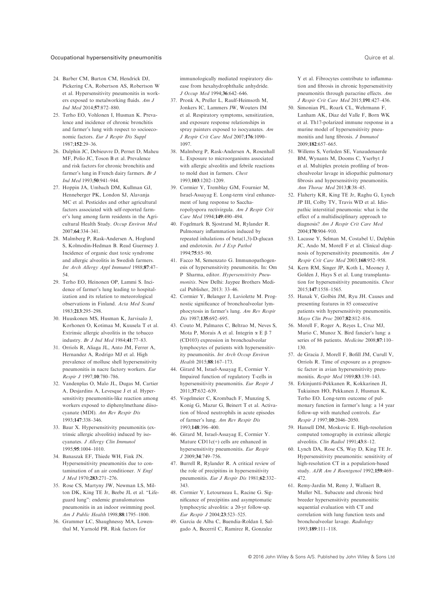- 24. Barber CM, Burton CM, Hendrick DJ Pickering CA, Robertson AS, Robertson W et al. Hypersensitivity pneumonitis in workers exposed to metalworking fluids. Am J Ind Med 2014;57:872–880.
- 25. Terho EO, Vohlonen I, Husman K. Prevalence and incidence of chronic bronchitis and farmer's lung with respect to socioeconomic factors. Eur J Respir Dis Suppl 1987;152:29–36.
- 26. Dalphin JC, Debieuvre D, Pernet D, Maheu MF, Polio JC, Toson B et al. Prevalence and risk factors for chronic bronchitis and farmer's lung in French dairy farmers. Br J Ind Med 1993;50:941–944.
- 27. Hoppin JA, Umbach DM, Kullman GJ, Henneberger PK, London SJ, Alavanja MC et al. Pesticides and other agricultural factors associated with self-reported farmer's lung among farm residents in the Agricultural Health Study. Occup Environ Med 2007;64:334–341.
- 28. Malmberg P, Rask-Andersen A, Hoglund S, Kolmodin-Hedman B. Read Guernsey J. Incidence of organic dust toxic syndrome and allergic alveolitis in Swedish farmers. Int Arch Allergy Appl Immunol 1988;87:47– 54.
- 29. Terho EO, Heinonen OP, Lammi S. Incidence of farmer's lung leading to hospitalization and its relation to meteorological observations in Finland. Acta Med Scand 1983;213:295–298.
- 30. Huuskonen MS, Husman K, Jarvisalo J, Korhonen O, Kotimaa M, Kuusela T et al. Extrinsic allergic alveolitis in the tobacco industry. Br J Ind Med 1984;41:77–83.
- 31. Orriols R, Aliaga JL, Anto JM, Ferrer A, Hernandez A, Rodrigo MJ et al. High prevalence of mollusc shell hypersensitivity pneumonitis in nacre factory workers. Eur Respir J 1997;10:780–786.
- 32. Vandenplas O, Malo JL, Dugas M, Cartier A, Desjardins A, Levesque J et al. Hypersensitivity pneumonitis-like reaction among workers exposed to diphenylmethane diisocyanate (MDI). Am Rev Respir Dis 1993;147:338–346.
- 33. Baur X. Hypersensitivity pneumonitis (extrinsic allergic alveolitis) induced by isocyanates. J Allergy Clin Immunol 1995;95:1004–1010.
- 34. Banaszak EF, Thiede WH, Fink JN. Hypersensitivity pneumonitis due to contamination of an air conditioner.  $N$  *Engl* J Med 1970;283:271–276.
- 35. Rose CS, Martyny JW, Newman LS, Milton DK, King TE Jr, Beebe JL et al. "Lifeguard lung": endemic granulomatous pneumonitis in an indoor swimming pool. Am J Public Health 1998;88:1795–1800.
- 36. Grammer LC, Shaughnessy MA, Lowenthal M, Yarnold PR. Risk factors for

immunologically mediated respiratory disease from hexahydrophthalic anhydride. J Occup Med 1994;36:642–646.

- 37. Pronk A, Preller L, Raulf-Heimsoth M, Jonkers IC, Lammers JW, Wouters IM et al. Respiratory symptoms, sensitization, and exposure response relationships in spray painters exposed to isocyanates. Am J Respir Crit Care Med 2007;176:1090– 1097.
- 38. Malmberg P, Rask-Andersen A, Rosenhall L. Exposure to microorganisms associated with allergic alveolitis and febrile reactions to mold dust in farmers. Chest 1993;103:1202–1209.
- 39. Cormier Y, Tremblay GM, Fournier M, Israel-Assayag E. Long-term viral enhancement of lung response to Saccharopolyspora rectivirgula. Am J Respir Crit Care Med 1994;149:490–494.
- 40. Fogelmark B, Sjostrand M, Rylander R. Pulmonary inflammation induced by repeated inhalations of beta(1,3)-D-glucan and endotoxin. Int J Exp Pathol 1994;75:85–90.
- 41. Facco M, Semenzato G. Immunopathogenesis of hypersensitivity pneumonitis. In: Om P Sharma, editor. Hypersensitivity Pneumonitis. New Delhi: Jaypee Brothers Medical Publisher, 2013: 33–46.
- 42. Cormier Y, Belanger J, Laviolette M. Prognostic significance of bronchoalveolar lymphocytosis in farmer's lung. Am Rev Respir Dis 1987;135:692–695.
- 43. Couto M, Palmares C, Beltrao M, Neves S, Mota P, Morais A et al. Integrin  $\alpha \to \beta$  7 (CD103) expression in bronchoalveolar lymphocytes of patients with hypersensitivity pneumonitis. Int Arch Occup Environ Health 2015;88:167–173.
- 44. Girard M, Israel-Assayag E, Cormier Y. Impaired function of regulatory T-cells in hypersensitivity pneumonitis. Eur Respir J 2011;37:632–639.
- 45. Vogelmeier C, Krombach F, Munzing S, Konig G, Mazur G, Beinert T et al. Activation of blood neutrophils in acute episodes of farmer's lung. Am Rev Respir Dis 1993;148:396–400.
- 46. Girard M, Israel-Assayag E, Cormier Y. Mature CD11c(+) cells are enhanced in hypersensitivity pneumonitis. Eur Respir J 2009;34:749–756.
- 47. Burrell R, Rylander R. A critical review of the role of precipitins in hypersensitivity pneumonitis. Eur J Respir Dis 1981;62:332– 343.
- 48. Cormier Y, Letourneau L, Racine G. Significance of precipitins and asymptomatic lymphocytic alveolitis: a 20-yr follow-up. Eur Respir J 2004;23:523–525.
- 49. Garcia de Alba C, Buendia-Roldan I, Salgado A, Becerril C, Ramirez R, Gonzalez

Y et al. Fibrocytes contribute to inflammation and fibrosis in chronic hypersensitivity pneumonitis through paracrine effects. Am J Respir Crit Care Med 2015;191:427–436.

- 50. Simonian PL, Roark CL, Wehrmann F, Lanham AK, Diaz del Valle F, Born WK et al. Th17-polarized immune response in a murine model of hypersensitivity pneumonitis and lung fibrosis. J Immunol 2009;182:657–665.
- 51. Willems S, Verleden SE, Vanaudenaerde BM, Wynants M, Dooms C, Yserbyt J et al. Multiplex protein profiling of bronchoalveolar lavage in idiopathic pulmonary fibrosis and hypersensitivity pneumonitis. Ann Thorac Med 2013;8:38–45.
- 52. Flaherty KR, King TE Jr, Raghu G, Lynch JP III, Colby TV, Travis WD et al. Idiopathic interstitial pneumonia: what is the effect of a multidisciplinary approach to diagnosis? Am J Respir Crit Care Med 2004;170:904–910.
- 53. Lacasse Y, Selman M, Costabel U, Dalphin JC, Ando M, Morell F et al. Clinical diagnosis of hypersensitivity pneumonitis. Am J Respir Crit Care Med 2003;168:952–958.
- 54. Kern RM, Singer JP, Koth L, Mooney J, Golden J, Hays S et al. Lung transplantation for hypersensitivity pneumonitis. Chest 2015;147:1558–1565.
- 55. Hanak V, Golbin JM, Ryu JH. Causes and presenting features in 85 consecutive patients with hypersensitivity pneumonitis. Mayo Clin Proc 2007;82:812–816.
- 56. Morell F, Roger A, Reyes L, Cruz MJ, Murio C, Munoz X. Bird fancier's lung: a series of 86 patients. Medicine 2008;87:110– 130.
- 57. de Gracia J, Morell F, Bofill JM, Curull V, Orriols R. Time of exposure as a prognostic factor in avian hypersensitivity pneumonitis. Respir Med 1989;83:139–143.
- 58. Erkinjuntti-Pekkanen R, Kokkarinen JI, Tukiainen HO, Pekkanen J, Husman K, Terho EO. Long-term outcome of pulmonary function in farmer's lung: a 14 year follow-up with matched controls. Eur Respir J 1997;10:2046–2050.
- 59. Hansell DM, Moskovic E. High-resolution computed tomography in extrinsic allergic alveolitis. Clin Radiol 1991;43:8–12.
- 60. Lynch DA, Rose CS, Way D, King TE Jr. Hypersensitivity pneumonitis: sensitivity of high-resolution CT in a population-based study. AJR Am J Roentgenol 1992;159:469– 472.
- 61. Remy-Jardin M, Remy J, Wallaert B, Muller NL. Subacute and chronic bird breeder hypersensitivity pneumonitis: sequential evaluation with CT and correlation with lung function tests and bronchoalveolar lavage. Radiology 1993;189:111–118.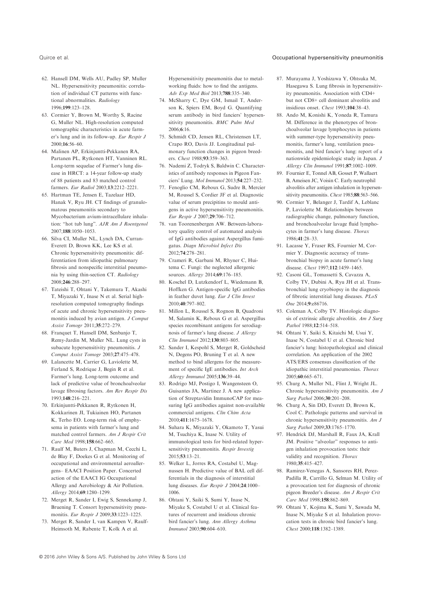- 62. Hansell DM, Wells AU, Padley SP, Muller NL. Hypersensitivity pneumonitis: correlation of individual CT patterns with functional abnormalities. Radiology 1996;199:123–128.
- 63. Cormier Y, Brown M, Worthy S, Racine G, Muller NL. High-resolution computed tomographic characteristics in acute farmer's lung and in its follow-up. Eur Respir J 2000;16:56–60.
- 64. Malinen AP, Erkinjuntti-Pekkanen RA, Partanen PL, Rytkonen HT, Vanninen RL. Long-term sequelae of Farmer's lung disease in HRCT: a 14-year follow-up study of 88 patients and 83 matched control farmers. Eur Radiol 2003;13:2212–2221.
- 65. Hartman TE, Jensen E, Tazelaar HD, Hanak V, Ryu JH. CT findings of granulomatous pneumonitis secondary to Mycobacterium avium-intracellulare inhalation: "hot tub lung". AJR Am J Roentgenol 2007;188:1050–1053.
- 66. Silva CI, Muller NL, Lynch DA, Curran-Everett D, Brown KK, Lee KS et al. Chronic hypersensitivity pneumonitis: differentiation from idiopathic pulmonary fibrosis and nonspecific interstitial pneumonia by using thin-section CT. Radiology 2008;246:288–297.
- 67. Tateishi T, Ohtani Y, Takemura T, Akashi T, Miyazaki Y, Inase N et al. Serial highresolution computed tomography findings of acute and chronic hypersensitivity pneumonitis induced by avian antigen. J Comput Assist Tomogr 2011;35:272–279.
- 68. Franquet T, Hansell DM, Senbanjo T, Remy-Jardin M, Muller NL. Lung cysts in subacute hypersensitivity pneumonitis. J Comput Assist Tomogr 2003;27:475–478.
- 69. Lalancette M, Carrier G, Laviolette M, Ferland S, Rodrique J, Begin R et al. Farmer's lung. Long-term outcome and lack of predictive value of bronchoalveolar lavage fibrosing factors. Am Rev Respir Dis 1993;148:216–221.
- 70. Erkinjuntti-Pekkanen R, Rytkonen H, Kokkarinen JI, Tukiainen HO, Partanen K, Terho EO. Long-term risk of emphysema in patients with farmer's lung and matched control farmers. Am J Respir Crit Care Med 1998;158:662–665.
- 71. Raulf M, Buters J, Chapman M, Cecchi L, de Blay F, Doekes G et al. Monitoring of occupational and environmental aeroallergens– EAACI Position Paper. Concerted action of the EAACI IG Occupational Allergy and Aerobiology & Air Pollution. Allergy 2014;69:1280–1299.
- 72. Merget R, Sander I, Ewig S, Sennekamp J, Bruening T. Consort hypersensitivity pneumonitis. Eur Respir J 2009;33:1223–1225.
- 73. Merget R, Sander I, van Kampen V, Raulf-Heimsoth M, Rabente T, Kolk A et al.

Hypersensitivity pneumonitis due to metalworking fluids: how to find the antigens. Adv Exp Med Biol 2013;788:335–340.

- 74. McSharry C, Dye GM, Ismail T, Anderson K, Spiers EM, Boyd G. Quantifying serum antibody in bird fanciers' hypersensitivity pneumonitis. BMC Pulm Med 2006;6:16.
- 75. Schmidt CD, Jensen RL, Christensen LT, Crapo RO, Davis JJ. Longitudinal pulmonary function changes in pigeon breeders. Chest 1988;93:359–363.
- 76. Nademi Z, Todryk S, Baldwin C. Characteristics of antibody responses in Pigeon Fanciers' Lung. Mol Immunol 2013;54:227–232.
- 77. Fenoglio CM, Reboux G, Sudre B, Mercier M, Roussel S, Cordier JF et al. Diagnostic value of serum precipitins to mould antigens in active hypersensitivity pneumonitis. Eur Respir J 2007;29:706–712.
- 78. van Toorenenbergen AW. Between-laboratory quality control of automated analysis of IgG antibodies against Aspergillus fumigatus. Diagn Microbiol Infect Dis 2012;74:278–281.
- 79. Crameri R, Garbani M, Rhyner C, Huitema C. Fungi: the neglected allergenic sources. Allergy 2014;69:176–185.
- 80. Koschel D, Lutzkendorf L, Wiedemann B, Hoffken G. Antigen-specific IgG antibodies in feather duvet lung. Eur J Clin Invest 2010;40:797–802.
- 81. Millon L, Roussel S, Rognon B, Quadroni M, Salamin K, Reboux G et al. Aspergillus species recombinant antigens for serodiagnosis of farmer's lung disease. J Allergy Clin Immunol 2012;130:803–805.
- 82. Sander I, Kespohl S, Merget R, Goldscheid N, Degens PO, Bruning T et al. A new method to bind allergens for the measurement of specific IgE antibodies. Int Arch Allergy Immunol 2005;136:39–44.
- 83. Rodrigo MJ, Postigo I, Wangensteen O, Guisantes JA, Martinez J. A new application of Streptavidin ImmunoCAP for measuring IgG antibodies against non-available commercial antigens. Clin Chim Acta 2010;411:1675–1678.
- 84. Suhara K, Miyazaki Y, Okamoto T, Yasui M, Tsuchiya K, Inase N. Utility of immunological tests for bird-related hypersensitivity pneumonitis. Respir Investig 2015;53:13–21.
- 85. Welker L, Jorres RA, Costabel U, Magnussen H. Predictive value of BAL cell differentials in the diagnosis of interstitial lung diseases. Eur Respir J 2004;24:1000– 1006.
- 86. Ohtani Y, Saiki S, Sumi Y, Inase N, Miyake S, Costabel U et al. Clinical features of recurrent and insidious chronic bird fancier's lung. Ann Allergy Asthma Immunol 2003;90:604–610.
- 87. Murayama J, Yoshizawa Y, Ohtsuka M, Hasegawa S. Lung fibrosis in hypersensitivity pneumonitis. Association with CD4+ but not CD8+ cell dominant alveolitis and insidious onset. Chest 1993;104:38–43.
- 88. Ando M, Konishi K, Yoneda R, Tamura M. Difference in the phenotypes of bronchoalveolar lavage lymphocytes in patients with summer-type hypersensitivity pneumonitis, farmer's lung, ventilation pneumonitis, and bird fancier's lung: report of a nationwide epidemiologic study in Japan. J Allergy Clin Immunol 1991;87:1002–1009.
- 89. Fournier E, Tonnel AB, Gosset P, Wallaert B, Ameisen JC, Voisin C. Early neutrophil alveolitis after antigen inhalation in hypersensitivity pneumonitis. Chest 1985;88:563–566.
- 90. Cormier Y, Belanger J, Tardif A, Leblanc P, Laviolette M. Relationships between radiographic change, pulmonary function, and bronchoalveolar lavage fluid lymphocytes in farmer's lung disease. Thorax 1986;41:28–33.
- 91. Lacasse Y, Fraser RS, Fournier M, Cormier Y. Diagnostic accuracy of transbronchial biopsy in acute farmer's lung disease. Chest 1997;112:1459–1465.
- 92. Casoni GL, Tomassetti S, Cavazza A, Colby TV, Dubini A, Ryu JH et al. Transbronchial lung cryobiopsy in the diagnosis of fibrotic interstitial lung diseases. PLoS One 2014;9:e86716.
- 93. Coleman A, Colby TV. Histologic diagnosis of extrinsic allergic alveolitis. Am J Surg Pathol 1988;12:514–518.
- 94. Ohtani Y, Saiki S, Kitaichi M, Usui Y, Inase N, Costabel U et al. Chronic bird fancier's lung: histopathological and clinical correlation. An application of the 2002 ATS/ERS consensus classification of the idiopathic interstitial pneumonias. Thorax 2005;60:665–671.
- 95. Churg A, Muller NL, Flint J, Wright JL. Chronic hypersensitivity pneumonitis. Am J Surg Pathol 2006;30:201–208.
- 96. Churg A, Sin DD, Everett D, Brown K, Cool C. Pathologic patterns and survival in chronic hypersensitivity pneumonitis. Am J Surg Pathol 2009;33:1765–1770.
- 97. Hendrick DJ, Marshall R, Faux JA, Krall JM. Positive "alveolar" responses to antigen inhalation provocation tests: their validity and recognition. Thorax 1980;35:415–427.
- 98. Ramirez-Venegas A, Sansores RH, Perez-Padilla R, Carrillo G, Selman M. Utility of a provocation test for diagnosis of chronic pigeon Breeder's disease. Am J Respir Crit Care Med 1998;158:862–869.
- 99. Ohtani Y, Kojima K, Sumi Y, Sawada M, Inase N, Miyake S et al. Inhalation provocation tests in chronic bird fancier's lung. Chest 2000;118:1382–1389.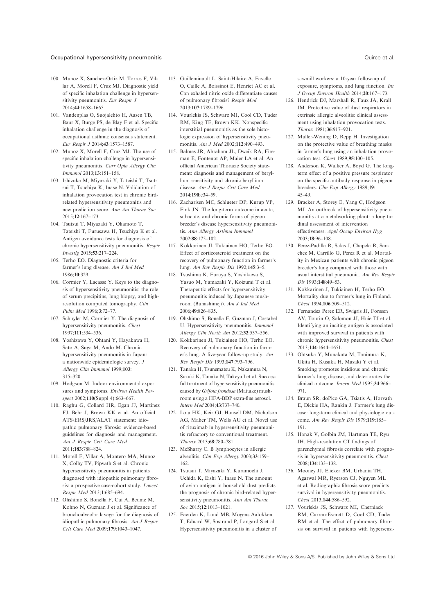#### **Occupational hypersensitivity pneumonitis Contract and Cuirce et al. Quirce et al. Quirce et al. Quirce et al.**

- 100. Munoz X, Sanchez-Ortiz M, Torres F, Villar A, Morell F, Cruz MJ. Diagnostic yield of specific inhalation challenge in hypersensitivity pneumonitis. Eur Respir J 2014;44:1658–1665.
- 101. Vandenplas O, Suojalehto H, Aasen TB, Baur X, Burge PS, de Blay F et al. Specific inhalation challenge in the diagnosis of occupational asthma: consensus statement. Eur Respir J 2014;43:1573–1587.
- 102. Munoz X, Morell F, Cruz MJ. The use of specific inhalation challenge in hypersensitivity pneumonitis. Curr Opin Allergy Clin Immunol 2013;13:151–158.
- 103. Ishizuka M, Miyazaki Y, Tateishi T, Tsutsui T, Tsuchiya K, Inase N. Validation of inhalation provocation test in chronic birdrelated hypersensitivity pneumonitis and new prediction score. Ann Am Thorac Soc 2015;12:167–173.
- 104. Tsutsui T, Miyazaki Y, Okamoto T, Tateishi T, Furusawa H, Tsuchiya K et al. Antigen avoidance tests for diagnosis of chronic hypersensitivity pneumonitis. Respir Investig 2015;53:217–224.
- 105. Terho EO. Diagnostic criteria for farmer's lung disease. Am J Ind Med 1986;10:329.
- 106. Cormier Y, Lacasse Y. Keys to the diagnosis of hypersensitivity pneumonitis: the role of serum precipitins, lung biopsy, and highresolution computed tomography. Clin Pulm Med 1996;3:72–77.
- 107. Schuyler M, Cormier Y. The diagnosis of hypersensitivity pneumonitis. Chest 1997;111:534–536.
- 108. Yoshizawa Y, Ohtani Y, Hayakawa H, Sato A, Suga M, Ando M. Chronic hypersensitivity pneumonitis in Japan: a nationwide epidemiologic survey. J Allergy Clin Immunol 1999;103: 315–320.
- 109. Hodgson M. Indoor environmental exposures and symptoms. Environ Health Perspect 2002;110(Suppl 4):663–667.
- 110. Raghu G, Collard HR, Egan JJ, Martinez FJ, Behr J, Brown KK et al. An official ATS/ERS/JRS/ALAT statement: idiopathic pulmonary fibrosis: evidence-based guidelines for diagnosis and management. Am J Respir Crit Care Med 2011;183:788–824.
- 111. Morell F, Villar A, Montero MA, Munoz X, Colby TV, Pipvath S et al. Chronic hypersensitivity pneumonitis in patients diagnosed with idiopathic pulmonary fibrosis: a prospective case-cohort study. Lancet Respir Med 2013;1:685–694.
- 112. Ohshimo S, Bonella F, Cui A, Beume M, Kohno N, Guzman J et al. Significance of bronchoalveolar lavage for the diagnosis of idiopathic pulmonary fibrosis. Am J Respir Crit Care Med 2009;179:1043–1047.
- 113. Guilleminault L, Saint-Hilaire A, Favelle O, Caille A, Boissinot E, Henriet AC et al. Can exhaled nitric oxide differentiate causes of pulmonary fibrosis? Respir Med 2013;107:1789–1796.
- 114. Vourlekis JS, Schwarz MI, Cool CD, Tuder RM, King TE, Brown KK. Nonspecific interstitial pneumonitis as the sole histologic expression of hypersensitivity pneumonitis. Am J Med 2002;112:490–493.
- 115. Balmes JR, Abraham JL, Dweik RA, Fireman E. Fontenot AP, Maier LA et al. An official American Thoracic Society statement: diagnosis and management of beryllium sensitivity and chronic beryllium disease. Am J Respir Crit Care Med 2014;190:e34–59.
- 116. Zacharisen MC, Schlueter DP, Kurup VP, Fink JN. The long-term outcome in acute, subacute, and chronic forms of pigeon breeder's disease hypersensitivity pneumonitis. Ann Allergy Asthma Immunol 2002;88:175–182.
- 117. Kokkarinen JI, Tukiainen HO, Terho EO. Effect of corticosteroid treatment on the recovery of pulmonary function in farmer's lung. Am Rev Respir Dis 1992;145:3–5.
- 118. Tsushima K, Furuya S, Yoshikawa S, Yasuo M, Yamazaki Y, Koizumi T et al. Therapeutic effects for hypersensitivity pneumonitis induced by Japanese mushroom (Bunashimeji). Am J Ind Med 2006;49:826–835.
- 119. Ohshimo S, Bonella F, Guzman J, Costabel U. Hypersensitivity pneumonitis. Immunol Allergy Clin North Am 2012;32:537–556.
- 120. Kokkarinen JI, Tukiainen HO, Terho EO. Recovery of pulmonary function in farmer's lung. A five-year follow-up study. Am Rev Respir Dis 1993;147:793–796.
- 121. Tanaka H, Tsunematsu K, Nakamura N, Suzuki K, Tanaka N, Takeya I et al. Successful treatment of hypersensitivity pneumonitis caused by Grifola frondosa (Maitake) mushroom using a HFA-BDP extra-fine aerosol. Intern Med 2004;43:737–740.
- 122. Lota HK, Keir GJ, Hansell DM, Nicholson AG, Maher TM, Wells AU et al. Novel use of rituximab in hypersensitivity pneumonitis refractory to conventional treatment. Thorax 2013;68:780–781.
- 123. McSharry C. B lymphocytes in allergic alveolitis. Clin Exp Allergy 2003;33:159– 162.
- 124. Tsutsui T, Miyazaki Y, Kuramochi J, Uchida K, Eishi Y, Inase N. The amount of avian antigen in household dust predicts the prognosis of chronic bird-related hypersensitivity pneumonitis. Ann Am Thorac Soc 2015;12:1013-1021.
- 125. Faerden K, Lund MB, Mogens Aalokken T, Eduard W, Sostrand P, Langard S et al. Hypersensitivity pneumonitis in a cluster of

sawmill workers: a 10-year follow-up of exposure, symptoms, and lung function. Int J Occup Environ Health 2014;20:167–173.

- 126. Hendrick DJ, Marshall R, Faux JA, Krall JM. Protective value of dust respirators in extrinsic allergic alveolitis: clinical assessment using inhalation provocation tests. Thorax 1981;36:917–921.
- 127. Muller-Wening D, Repp H. Investigation on the protective value of breathing masks in farmer's lung using an inhalation provocation test.  $Check 1989.95:100-105.$
- 128. Anderson K, Walker A, Boyd G. The longterm effect of a positive pressure respirator on the specific antibody response in pigeon breeders. Clin Exp Allergy 1989;19: 45–49.
- 129. Bracker A, Storey E, Yang C, Hodgson MJ. An outbreak of hypersensitivity pneumonitis at a metalworking plant: a longitudinal assessment of intervention effectiveness. Appl Occup Environ Hyg 2003;18:96–108.
- 130. Perez-Padilla R, Salas J, Chapela R, Sanchez M, Carrillo G, Perez R et al. Mortality in Mexican patients with chronic pigeon breeder's lung compared with those with usual interstitial pneumonia. Am Rev Respir Dis 1993;148:49–53.
- 131. Kokkarinen J, Tukiainen H, Terho EO. Mortality due to farmer's lung in Finland.  $Check 1994:106:509-512$
- 132. Fernandez Perez ER, Swigris JJ, Forssen AV, Tourin O, Solomon JJ, Huie TJ et al. Identifying an inciting antigen is associated with improved survival in patients with chronic hypersensitivity pneumonitis. Chest 2013;144:1644–1651.
- 133. Ohtsuka Y, Munakata M, Tanimura K, Ukita H, Kusaka H, Masaki Y et al. Smoking promotes insidious and chronic farmer's lung disease, and deteriorates the clinical outcome. Intern Med 1995;34:966-971.
- 134. Braun SR, doPico GA, Tsiatis A, Horvath E, Dickie HA, Rankin J. Farmer's lung disease: long-term clinical and physiologic outcome. Am Rev Respir Dis 1979;119:185– 191.
- 135. Hanak V, Golbin JM, Hartman TE, Ryu JH. High-resolution CT findings of parenchymal fibrosis correlate with prognosis in hypersensitivity pneumonitis. Chest 2008;134:133–138.
- 136. Mooney JJ, Elicker BM, Urbania TH, Agarwal MR, Ryerson CJ, Nguyen ML et al. Radiographic fibrosis score predicts survival in hypersensitivity pneumonitis. Chest 2013;144:586–592.
- 137. Vourlekis JS, Schwarz MI, Cherniack RM, Curran-Everett D, Cool CD, Tuder RM et al. The effect of pulmonary fibrosis on survival in patients with hypersensi-

© 2016 John Wiley & Sons A/S. Published by John Wiley & Sons Ltd